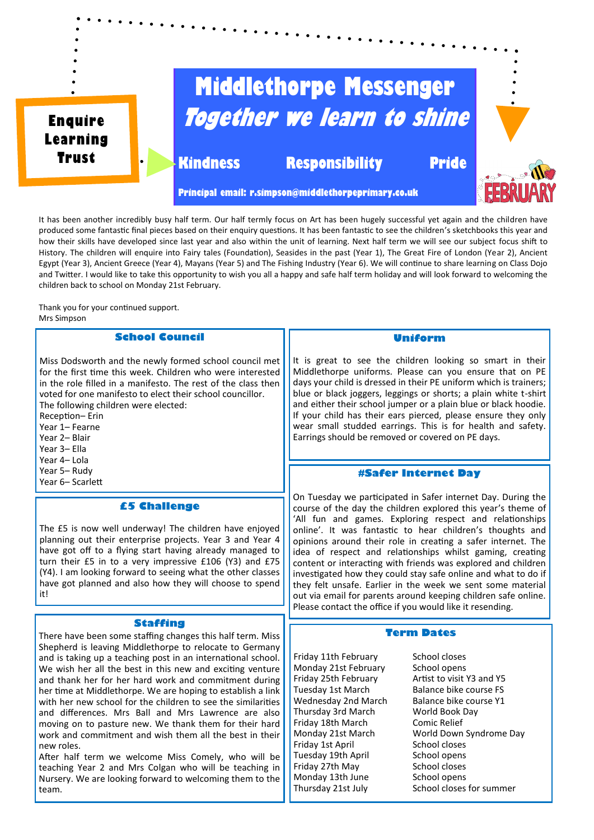

It has been another incredibly busy half term. Our half termly focus on Art has been hugely successful yet again and the children have produced some fantastic final pieces based on their enquiry questions. It has been fantastic to see the children's sketchbooks this year and how their skills have developed since last year and also within the unit of learning. Next half term we will see our subject focus shift to History. The children will enquire into Fairy tales (Foundation), Seasides in the past (Year 1), The Great Fire of London (Year 2), Ancient Egypt (Year 3), Ancient Greece (Year 4), Mayans (Year 5) and The Fishing Industry (Year 6). We will continue to share learning on Class Dojo and Twitter. I would like to take this opportunity to wish you all a happy and safe half term holiday and will look forward to welcoming the children back to school on Monday 21st February.

Thank you for your continued support. Mrs Simpson

# **School Council**

Miss Dodsworth and the newly formed school council met for the first time this week. Children who were interested in the role filled in a manifesto. The rest of the class then voted for one manifesto to elect their school councillor. The following children were elected:

Reception– Erin

- Year 1– Fearne
- Year 2– Blair
- Year 3– Ella
- Year 4– Lola
- Year 5– Rudy
- Year 6– Scarlett

## **£5 Challenge**

The £5 is now well underway! The children have enjoyed planning out their enterprise projects. Year 3 and Year 4 have got off to a flying start having already managed to turn their £5 in to a very impressive £106 (Y3) and £75 (Y4). I am looking forward to seeing what the other classes have got planned and also how they will choose to spend it!

# **Staffing**

There have been some staffing changes this half term. Miss Shepherd is leaving Middlethorpe to relocate to Germany and is taking up a teaching post in an international school. We wish her all the best in this new and exciting venture and thank her for her hard work and commitment during her time at Middlethorpe. We are hoping to establish a link with her new school for the children to see the similarities and differences. Mrs Ball and Mrs Lawrence are also moving on to pasture new. We thank them for their hard work and commitment and wish them all the best in their new roles.

After half term we welcome Miss Comely, who will be teaching Year 2 and Mrs Colgan who will be teaching in Nursery. We are looking forward to welcoming them to the team.

#### **Uniform**

It is great to see the children looking so smart in their Middlethorpe uniforms. Please can you ensure that on PE days your child is dressed in their PE uniform which is trainers; blue or black joggers, leggings or shorts; a plain white t-shirt and either their school jumper or a plain blue or black hoodie. If your child has their ears pierced, please ensure they only wear small studded earrings. This is for health and safety. Earrings should be removed or covered on PE days.

#### **#Safer Internet Day**

On Tuesday we participated in Safer internet Day. During the course of the day the children explored this year's theme of 'All fun and games. Exploring respect and relationships online'. It was fantastic to hear children's thoughts and opinions around their role in creating a safer internet. The idea of respect and relationships whilst gaming, creating content or interacting with friends was explored and children investigated how they could stay safe online and what to do if they felt unsafe. Earlier in the week we sent some material out via email for parents around keeping children safe online. Please contact the office if you would like it resending.

## **Term Dates**

Friday 11th February School closes Monday 21st February School opens Thursday 3rd March World Book Day<br>Friday 18th March Comic Relief Friday 18th March Friday 1st April School closes Tuesday 19th April School opens Friday 27th May School closes Monday 13th June School opens

Friday 25th February **Artist to visit Y3 and Y5**<br>Tuesday 1st March Balance bike course FS Balance bike course FS Wednesday 2nd March Balance bike course Y1 Monday 21st March World Down Syndrome Day Thursday 21st July School closes for summer